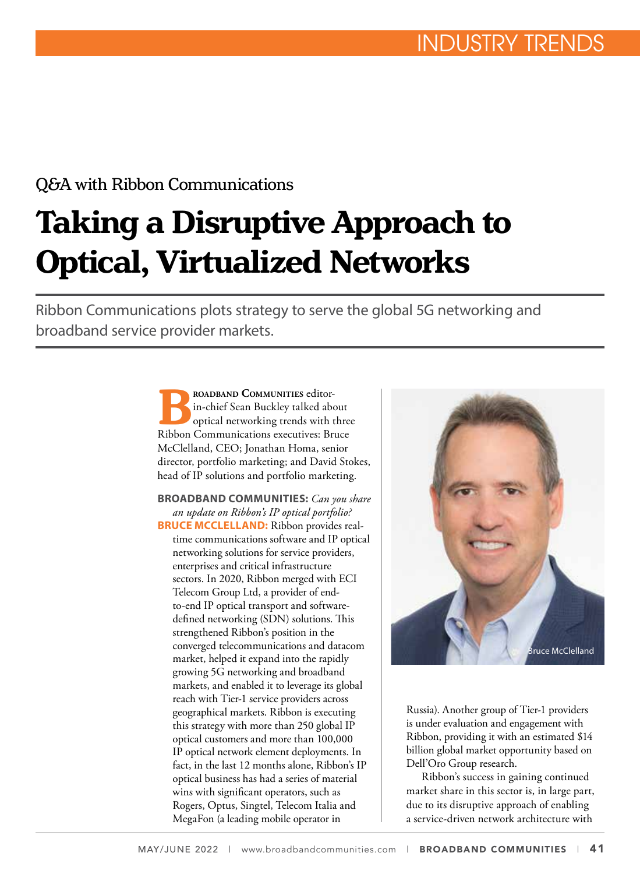### Q&A with Ribbon Communications

# **Taking a Disruptive Approach to Optical, Virtualized Networks**

Ribbon Communications plots strategy to serve the global 5G networking and broadband service provider markets.

> **B**<br>**Broadband Communication**<br>**Ribbon Communications executives:** Britan Ribbon Communications executives: Britan in-chief Sean Buckley talked about optical networking trends with three Ribbon Communications executives: Bruce McClelland, CEO; Jonathan Homa, senior director, portfolio marketing; and David Stokes, head of IP solutions and portfolio marketing.

> **BROADBAND COMMUNITIES:** *Can you share an update on Ribbon's IP optical portfolio?* **BRUCE MCCLELLAND:** Ribbon provides realtime communications software and IP optical networking solutions for service providers, enterprises and critical infrastructure sectors. In 2020, Ribbon merged with ECI Telecom Group Ltd, a provider of endto-end IP optical transport and softwaredefined networking (SDN) solutions. This strengthened Ribbon's position in the converged telecommunications and datacom market, helped it expand into the rapidly growing 5G networking and broadband markets, and enabled it to leverage its global reach with Tier-1 service providers across geographical markets. Ribbon is executing this strategy with more than 250 global IP optical customers and more than 100,000 IP optical network element deployments. In fact, in the last 12 months alone, Ribbon's IP optical business has had a series of material wins with significant operators, such as Rogers, Optus, Singtel, Telecom Italia and MegaFon (a leading mobile operator in



Russia). Another group of Tier-1 providers is under evaluation and engagement with Ribbon, providing it with an estimated \$14 billion global market opportunity based on Dell'Oro Group research.

Ribbon's success in gaining continued market share in this sector is, in large part, due to its disruptive approach of enabling a service-driven network architecture with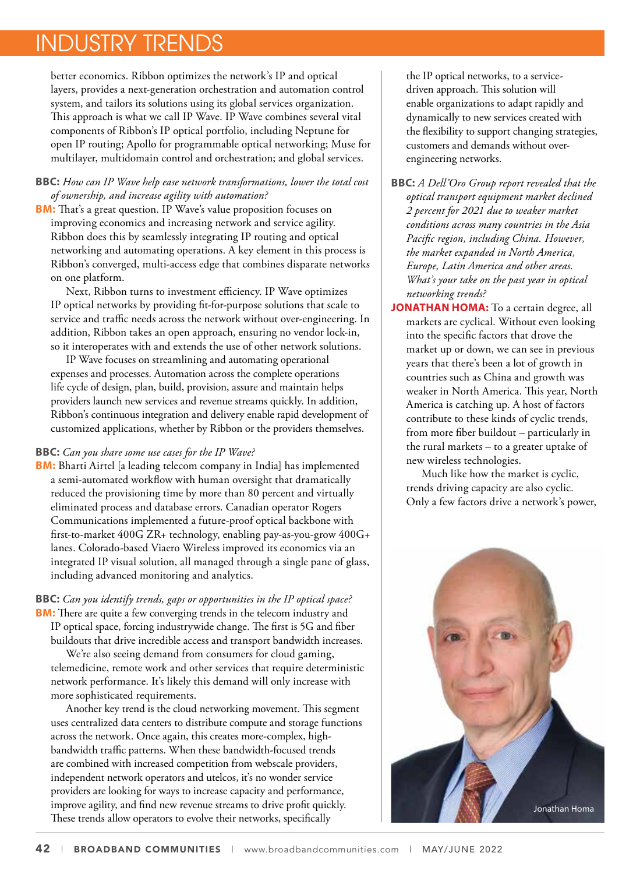### INDUSTRY TRENDS

better economics. Ribbon optimizes the network's IP and optical layers, provides a next-generation orchestration and automation control system, and tailors its solutions using its global services organization. This approach is what we call IP Wave. IP Wave combines several vital components of Ribbon's IP optical portfolio, including Neptune for open IP routing; Apollo for programmable optical networking; Muse for multilayer, multidomain control and orchestration; and global services.

#### **BBC:** *How can IP Wave help ease network transformations, lower the total cost of ownership, and increase agility with automation?*

**BM:** That's a great question. IP Wave's value proposition focuses on improving economics and increasing network and service agility. Ribbon does this by seamlessly integrating IP routing and optical networking and automating operations. A key element in this process is Ribbon's converged, multi-access edge that combines disparate networks on one platform.

Next, Ribbon turns to investment efficiency. IP Wave optimizes IP optical networks by providing fit-for-purpose solutions that scale to service and traffic needs across the network without over-engineering. In addition, Ribbon takes an open approach, ensuring no vendor lock-in, so it interoperates with and extends the use of other network solutions.

IP Wave focuses on streamlining and automating operational expenses and processes. Automation across the complete operations life cycle of design, plan, build, provision, assure and maintain helps providers launch new services and revenue streams quickly. In addition, Ribbon's continuous integration and delivery enable rapid development of customized applications, whether by Ribbon or the providers themselves.

#### **BBC:** *Can you share some use cases for the IP Wave?*

**BM:** Bharti Airtel [a leading telecom company in India] has implemented a semi-automated workflow with human oversight that dramatically reduced the provisioning time by more than 80 percent and virtually eliminated process and database errors. Canadian operator Rogers Communications implemented a future-proof optical backbone with first-to-market 400G ZR+ technology, enabling pay-as-you-grow 400G+ lanes. Colorado-based Viaero Wireless improved its economics via an integrated IP visual solution, all managed through a single pane of glass, including advanced monitoring and analytics.

#### **BBC:** *Can you identify trends, gaps or opportunities in the IP optical space?* **BM:** There are quite a few converging trends in the telecom industry and

IP optical space, forcing industrywide change. The first is 5G and fiber buildouts that drive incredible access and transport bandwidth increases.

We're also seeing demand from consumers for cloud gaming, telemedicine, remote work and other services that require deterministic network performance. It's likely this demand will only increase with more sophisticated requirements.

Another key trend is the cloud networking movement. This segment uses centralized data centers to distribute compute and storage functions across the network. Once again, this creates more-complex, highbandwidth traffic patterns. When these bandwidth-focused trends are combined with increased competition from webscale providers, independent network operators and utelcos, it's no wonder service providers are looking for ways to increase capacity and performance, improve agility, and find new revenue streams to drive profit quickly. These trends allow operators to evolve their networks, specifically

the IP optical networks, to a servicedriven approach. This solution will enable organizations to adapt rapidly and dynamically to new services created with the flexibility to support changing strategies, customers and demands without overengineering networks.

**BBC:** *A Dell'Oro Group report revealed that the optical transport equipment market declined 2 percent for 2021 due to weaker market conditions across many countries in the Asia Pacific region, including China. However, the market expanded in North America, Europe, Latin America and other areas. What's your take on the past year in optical networking trends?* 

**JONATHAN HOMA:** To a certain degree, all markets are cyclical. Without even looking into the specific factors that drove the market up or down, we can see in previous years that there's been a lot of growth in countries such as China and growth was weaker in North America. This year, North America is catching up. A host of factors contribute to these kinds of cyclic trends, from more fiber buildout – particularly in the rural markets – to a greater uptake of new wireless technologies.

Much like how the market is cyclic, trends driving capacity are also cyclic. Only a few factors drive a network's power,

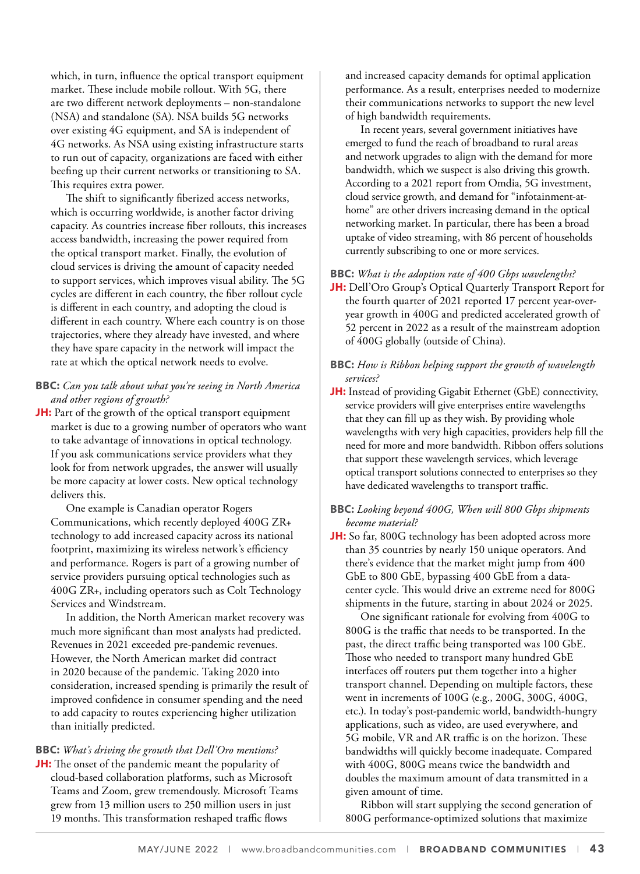which, in turn, influence the optical transport equipment market. These include mobile rollout. With 5G, there are two different network deployments – non-standalone (NSA) and standalone (SA). NSA builds 5G networks over existing 4G equipment, and SA is independent of 4G networks. As NSA using existing infrastructure starts to run out of capacity, organizations are faced with either beefing up their current networks or transitioning to SA. This requires extra power.

The shift to significantly fiberized access networks, which is occurring worldwide, is another factor driving capacity. As countries increase fiber rollouts, this increases access bandwidth, increasing the power required from the optical transport market. Finally, the evolution of cloud services is driving the amount of capacity needed to support services, which improves visual ability. The 5G cycles are different in each country, the fiber rollout cycle is different in each country, and adopting the cloud is different in each country. Where each country is on those trajectories, where they already have invested, and where they have spare capacity in the network will impact the rate at which the optical network needs to evolve.

- **BBC:** *Can you talk about what you're seeing in North America and other regions of growth?*
- **JH:** Part of the growth of the optical transport equipment market is due to a growing number of operators who want to take advantage of innovations in optical technology. If you ask communications service providers what they look for from network upgrades, the answer will usually be more capacity at lower costs. New optical technology delivers this.

One example is Canadian operator Rogers Communications, which recently deployed 400G ZR+ technology to add increased capacity across its national footprint, maximizing its wireless network's efficiency and performance. Rogers is part of a growing number of service providers pursuing optical technologies such as 400G ZR+, including operators such as Colt Technology Services and Windstream.

In addition, the North American market recovery was much more significant than most analysts had predicted. Revenues in 2021 exceeded pre-pandemic revenues. However, the North American market did contract in 2020 because of the pandemic. Taking 2020 into consideration, increased spending is primarily the result of improved confidence in consumer spending and the need to add capacity to routes experiencing higher utilization than initially predicted.

**BBC:** *What's driving the growth that Dell'Oro mentions?*  **JH:** The onset of the pandemic meant the popularity of cloud-based collaboration platforms, such as Microsoft Teams and Zoom, grew tremendously. Microsoft Teams grew from 13 million users to 250 million users in just 19 months. This transformation reshaped traffic flows

and increased capacity demands for optimal application performance. As a result, enterprises needed to modernize their communications networks to support the new level of high bandwidth requirements.

In recent years, several government initiatives have emerged to fund the reach of broadband to rural areas and network upgrades to align with the demand for more bandwidth, which we suspect is also driving this growth. According to a 2021 report from Omdia, 5G investment, cloud service growth, and demand for "infotainment-athome" are other drivers increasing demand in the optical networking market. In particular, there has been a broad uptake of video streaming, with 86 percent of households currently subscribing to one or more services.

#### **BBC:** *What is the adoption rate of 400 Gbps wavelengths?*

**JH:** Dell'Oro Group's Optical Quarterly Transport Report for the fourth quarter of 2021 reported 17 percent year-overyear growth in 400G and predicted accelerated growth of 52 percent in 2022 as a result of the mainstream adoption of 400G globally (outside of China).

#### **BBC:** *How is Ribbon helping support the growth of wavelength services?*

**JH:** Instead of providing Gigabit Ethernet (GbE) connectivity, service providers will give enterprises entire wavelengths that they can fill up as they wish. By providing whole wavelengths with very high capacities, providers help fill the need for more and more bandwidth. Ribbon offers solutions that support these wavelength services, which leverage optical transport solutions connected to enterprises so they have dedicated wavelengths to transport traffic.

#### **BBC:** *Looking beyond 400G, When will 800 Gbps shipments become material?*

**JH:** So far, 800G technology has been adopted across more than 35 countries by nearly 150 unique operators. And there's evidence that the market might jump from 400 GbE to 800 GbE, bypassing 400 GbE from a datacenter cycle. This would drive an extreme need for 800G shipments in the future, starting in about 2024 or 2025.

One significant rationale for evolving from 400G to 800G is the traffic that needs to be transported. In the past, the direct traffic being transported was 100 GbE. Those who needed to transport many hundred GbE interfaces off routers put them together into a higher transport channel. Depending on multiple factors, these went in increments of 100G (e.g., 200G, 300G, 400G, etc.). In today's post-pandemic world, bandwidth-hungry applications, such as video, are used everywhere, and 5G mobile, VR and AR traffic is on the horizon. These bandwidths will quickly become inadequate. Compared with 400G, 800G means twice the bandwidth and doubles the maximum amount of data transmitted in a given amount of time.

Ribbon will start supplying the second generation of 800G performance-optimized solutions that maximize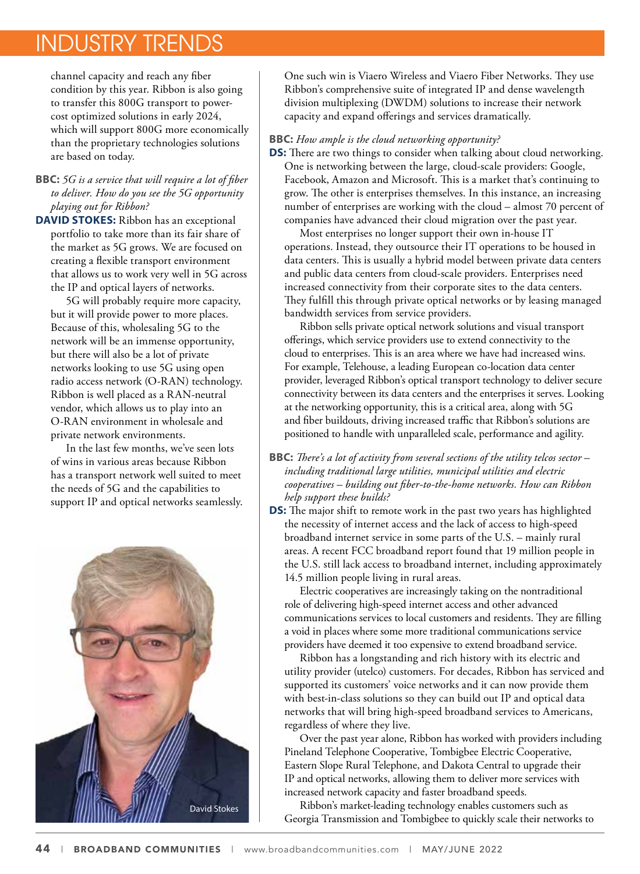### INDUSTRY TRENDS

channel capacity and reach any fiber condition by this year. Ribbon is also going to transfer this 800G transport to powercost optimized solutions in early 2024, which will support 800G more economically than the proprietary technologies solutions are based on today.

**BBC:** *5G is a service that will require a lot of fiber to deliver. How do you see the 5G opportunity playing out for Ribbon?* 

**DAVID STOKES:** Ribbon has an exceptional portfolio to take more than its fair share of the market as 5G grows. We are focused on creating a flexible transport environment that allows us to work very well in 5G across the IP and optical layers of networks.

5G will probably require more capacity, but it will provide power to more places. Because of this, wholesaling 5G to the network will be an immense opportunity, but there will also be a lot of private networks looking to use 5G using open radio access network (O-RAN) technology. Ribbon is well placed as a RAN-neutral vendor, which allows us to play into an O-RAN environment in wholesale and private network environments.

In the last few months, we've seen lots of wins in various areas because Ribbon has a transport network well suited to meet the needs of 5G and the capabilities to support IP and optical networks seamlessly.



One such win is Viaero Wireless and Viaero Fiber Networks. They use Ribbon's comprehensive suite of integrated IP and dense wavelength division multiplexing (DWDM) solutions to increase their network capacity and expand offerings and services dramatically.

#### **BBC:** *How ample is the cloud networking opportunity?*

**DS:** There are two things to consider when talking about cloud networking. One is networking between the large, cloud-scale providers: Google, Facebook, Amazon and Microsoft. This is a market that's continuing to grow. The other is enterprises themselves. In this instance, an increasing

number of enterprises are working with the cloud – almost 70 percent of companies have advanced their cloud migration over the past year. Most enterprises no longer support their own in-house IT operations. Instead, they outsource their IT operations to be housed in

data centers. This is usually a hybrid model between private data centers and public data centers from cloud-scale providers. Enterprises need increased connectivity from their corporate sites to the data centers. They fulfill this through private optical networks or by leasing managed bandwidth services from service providers.

Ribbon sells private optical network solutions and visual transport offerings, which service providers use to extend connectivity to the cloud to enterprises. This is an area where we have had increased wins. For example, Telehouse, a leading European co-location data center provider, leveraged Ribbon's optical transport technology to deliver secure connectivity between its data centers and the enterprises it serves. Looking at the networking opportunity, this is a critical area, along with 5G and fiber buildouts, driving increased traffic that Ribbon's solutions are positioned to handle with unparalleled scale, performance and agility.

- **BBC:** *There's a lot of activity from several sections of the utility telcos sector including traditional large utilities, municipal utilities and electric cooperatives – building out fiber-to-the-home networks. How can Ribbon help support these builds?*
- **DS:** The major shift to remote work in the past two years has highlighted the necessity of internet access and the lack of access to high-speed broadband internet service in some parts of the U.S. – mainly rural areas. A recent FCC broadband report found that 19 million people in the U.S. still lack access to broadband internet, including approximately 14.5 million people living in rural areas.

Electric cooperatives are increasingly taking on the nontraditional role of delivering high-speed internet access and other advanced communications services to local customers and residents. They are filling a void in places where some more traditional communications service providers have deemed it too expensive to extend broadband service.

Ribbon has a longstanding and rich history with its electric and utility provider (utelco) customers. For decades, Ribbon has serviced and supported its customers' voice networks and it can now provide them with best-in-class solutions so they can build out IP and optical data networks that will bring high-speed broadband services to Americans, regardless of where they live.

Over the past year alone, Ribbon has worked with providers including Pineland Telephone Cooperative, Tombigbee Electric Cooperative, Eastern Slope Rural Telephone, and Dakota Central to upgrade their IP and optical networks, allowing them to deliver more services with increased network capacity and faster broadband speeds.

Ribbon's market-leading technology enables customers such as Georgia Transmission and Tombigbee to quickly scale their networks to